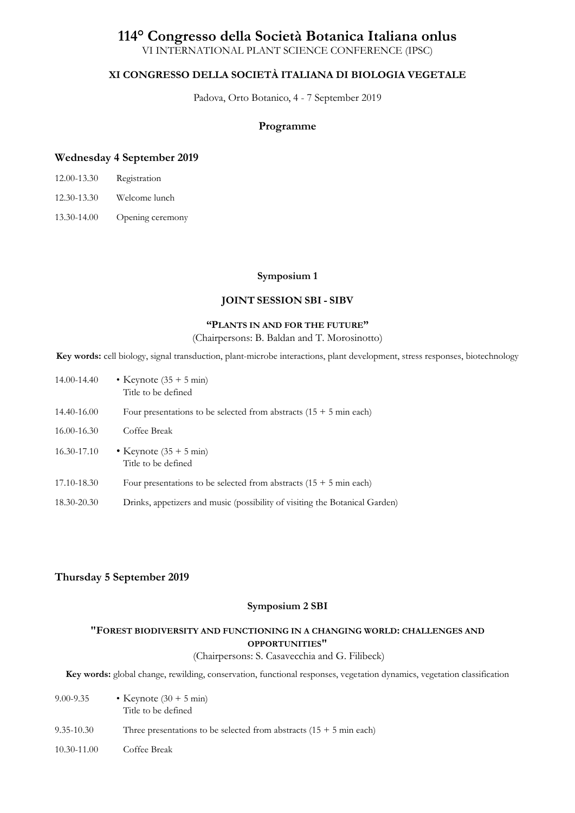# **114° Congresso della Società Botanica Italiana onlus**

VI INTERNATIONAL PLANT SCIENCE CONFERENCE (IPSC)

# **XI CONGRESSO DELLA SOCIETÀ ITALIANA DI BIOLOGIA VEGETALE**

Padova, Orto Botanico, 4 - 7 September 2019

# **Programme**

# **Wednesday 4 September 2019**

| 12.00-13.30 | Registration |
|-------------|--------------|
|-------------|--------------|

- 12.30-13.30 Welcome lunch
- 13.30-14.00 Opening ceremony

#### **Symposium 1**

# **JOINT SESSION SBI - SIBV**

# **"PLANTS IN AND FOR THE FUTURE"**

(Chairpersons: B. Baldan and T. Morosinotto)

**Key words:** cell biology, signal transduction, plant-microbe interactions, plant development, stress responses, biotechnology

| 14.00-14.40 | • Keynote $(35 + 5 \text{ min})$<br>Title to be defined                      |
|-------------|------------------------------------------------------------------------------|
| 14.40-16.00 | Four presentations to be selected from abstracts $(15 + 5 \text{ min each})$ |
| 16.00-16.30 | Coffee Break                                                                 |
| 16.30-17.10 | • Keynote $(35 + 5 \text{ min})$<br>Title to be defined                      |
| 17.10-18.30 | Four presentations to be selected from abstracts $(15 + 5 \text{ min each})$ |
| 18.30-20.30 | Drinks, appetizers and music (possibility of visiting the Botanical Garden)  |

# **Thursday 5 September 2019**

#### **Symposium 2 SBI**

# **"FOREST BIODIVERSITY AND FUNCTIONING IN A CHANGING WORLD: CHALLENGES AND OPPORTUNITIES"**

#### (Chairpersons: S. Casavecchia and G. Filibeck)

**Key words:** global change, rewilding, conservation, functional responses, vegetation dynamics, vegetation classification

| 9.00-9.35   | • Keynote $(30 + 5 \text{ min})$<br>Title to be defined                       |
|-------------|-------------------------------------------------------------------------------|
| 9.35-10.30  | Three presentations to be selected from abstracts $(15 + 5 \text{ min each})$ |
| 10.30-11.00 | Coffee Break                                                                  |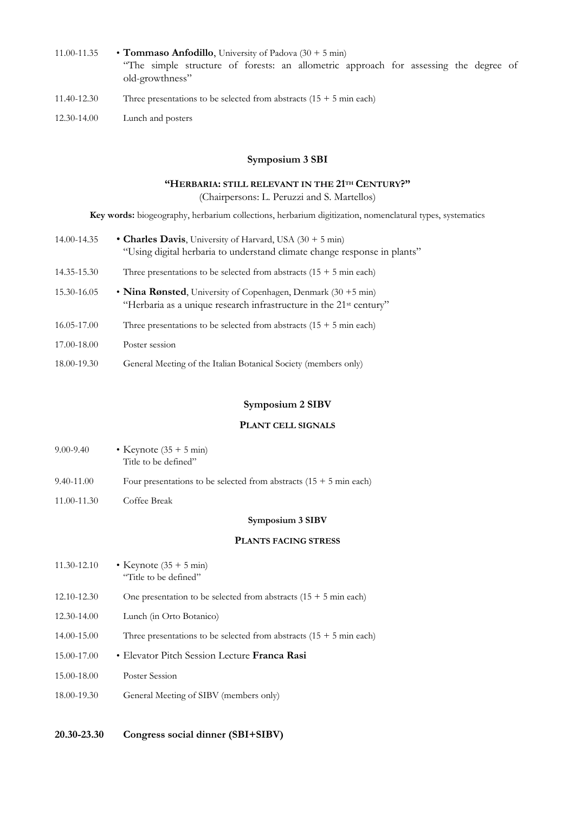- 11.00-11.35 **Tommaso Anfodillo**, University of Padova (30 + 5 min) "The simple structure of forests: an allometric approach for assessing the degree of old-growthness"
- 11.40-12.30 Three presentations to be selected from abstracts  $(15 + 5 \text{ min each})$
- 12.30-14.00 Lunch and posters

# **Symposium 3 SBI**

#### **"HERBARIA: STILL RELEVANT IN THE 21TH CENTURY?"**

(Chairpersons: L. Peruzzi and S. Martellos)

**Key words:** biogeography, herbarium collections, herbarium digitization, nomenclatural types, systematics

| 14.00-14.35 | • Charles Davis, University of Harvard, USA $(30 + 5 \text{ min})$<br>"Using digital herbaria to understand climate change response in plants"             |
|-------------|------------------------------------------------------------------------------------------------------------------------------------------------------------|
| 14.35-15.30 | Three presentations to be selected from abstracts $(15 + 5 \text{ min each})$                                                                              |
| 15.30-16.05 | • Nina Rønsted, University of Copenhagen, Denmark $(30 + 5 \text{ min})$<br>"Herbaria as a unique research infrastructure in the 21 <sup>st</sup> century" |
| 16.05-17.00 | Three presentations to be selected from abstracts $(15 + 5 \text{ min each})$                                                                              |
| 17.00-18.00 | Poster session                                                                                                                                             |
| 18.00-19.30 | General Meeting of the Italian Botanical Society (members only)                                                                                            |

#### **Symposium 2 SIBV**

#### **PLANT CELL SIGNALS**

| $9.00 - 9.40$ | • Keynote $(35 + 5 \text{ min})$ |  |
|---------------|----------------------------------|--|
|               | Title to be defined"             |  |
|               |                                  |  |

- 9.40-11.00 Four presentations to be selected from abstracts  $(15 + 5 \text{ min each})$
- 11.00-11.30 Coffee Break

**Symposium 3 SIBV**

# **PLANTS FACING STRESS**

| 11.30-12.10 | • Keynote $(35 + 5 \text{ min})$<br>"Title to be defined"                     |
|-------------|-------------------------------------------------------------------------------|
| 12.10-12.30 | One presentation to be selected from abstracts $(15 + 5 \text{ min each})$    |
| 12.30-14.00 | Lunch (in Orto Botanico)                                                      |
| 14.00-15.00 | Three presentations to be selected from abstracts $(15 + 5 \text{ min each})$ |
| 15.00-17.00 | • Elevator Pitch Session Lecture Franca Rasi                                  |
| 15.00-18.00 | Poster Session                                                                |
| 18.00-19.30 | General Meeting of SIBV (members only)                                        |
|             |                                                                               |

**20.30-23.30 Congress social dinner (SBI+SIBV)**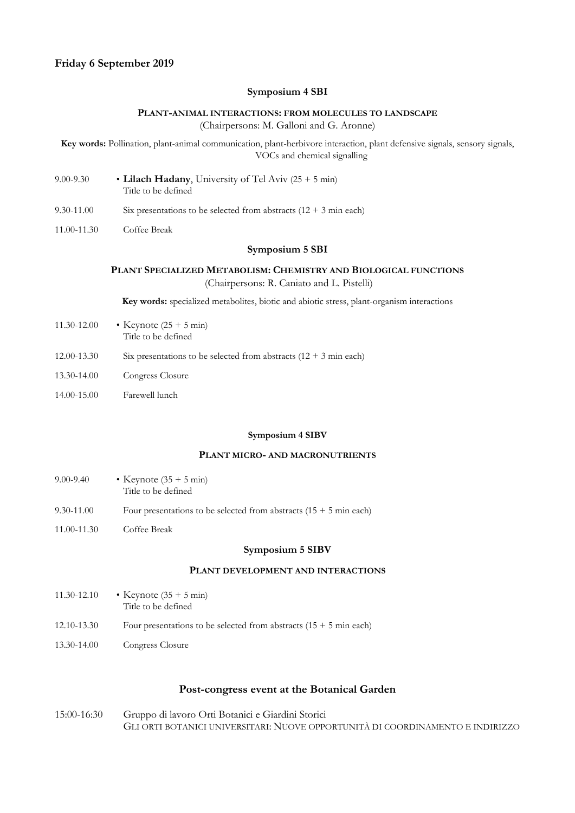## **Symposium 4 SBI**

#### **PLANT-ANIMAL INTERACTIONS: FROM MOLECULES TO LANDSCAPE**

(Chairpersons: M. Galloni and G. Aronne)

**Key words:** Pollination, plant-animal communication, plant-herbivore interaction, plant defensive signals, sensory signals, VOCs and chemical signalling

- 9.00-9.30 **Lilach Hadany**, University of Tel Aviv (25 + 5 min) Title to be defined
- 9.30-11.00 Six presentations to be selected from abstracts  $(12 + 3 \text{ min each})$
- 11.00-11.30 Coffee Break

# **Symposium 5 SBI**

# **PLANT SPECIALIZED METABOLISM: CHEMISTRY AND BIOLOGICAL FUNCTIONS**

(Chairpersons: R. Caniato and L. Pistelli)

**Key words:** specialized metabolites, biotic and abiotic stress, plant-organism interactions

- 11.30-12.00 Keynote (25 + 5 min) Title to be defined
- 12.00-13.30 Six presentations to be selected from abstracts  $(12 + 3 \text{ min each})$
- 13.30-14.00 Congress Closure
- 14.00-15.00 Farewell lunch

#### **Symposium 4 SIBV**

#### **PLANT MICRO- AND MACRONUTRIENTS**

| $9.00 - 9.40$ | • Keynote $(35 + 5 \text{ min})$<br>Title to be defined                      |
|---------------|------------------------------------------------------------------------------|
| 9.30-11.00    | Four presentations to be selected from abstracts $(15 + 5 \text{ min each})$ |
| 11.00-11.30   | Coffee Break                                                                 |

#### **Symposium 5 SIBV**

# **PLANT DEVELOPMENT AND INTERACTIONS**

| 11.30-12.10 | • Keynote $(35 + 5 \text{ min})$<br>Title to be defined                      |  |
|-------------|------------------------------------------------------------------------------|--|
| 12.10-13.30 | Four presentations to be selected from abstracts $(15 + 5 \text{ min each})$ |  |
| 13.30-14.00 | Congress Closure                                                             |  |

#### **Post-congress event at the Botanical Garden**

15:00-16:30 Gruppo di lavoro Orti Botanici e Giardini Storici GLI ORTI BOTANICI UNIVERSITARI: NUOVE OPPORTUNITÀ DI COORDINAMENTO E INDIRIZZO